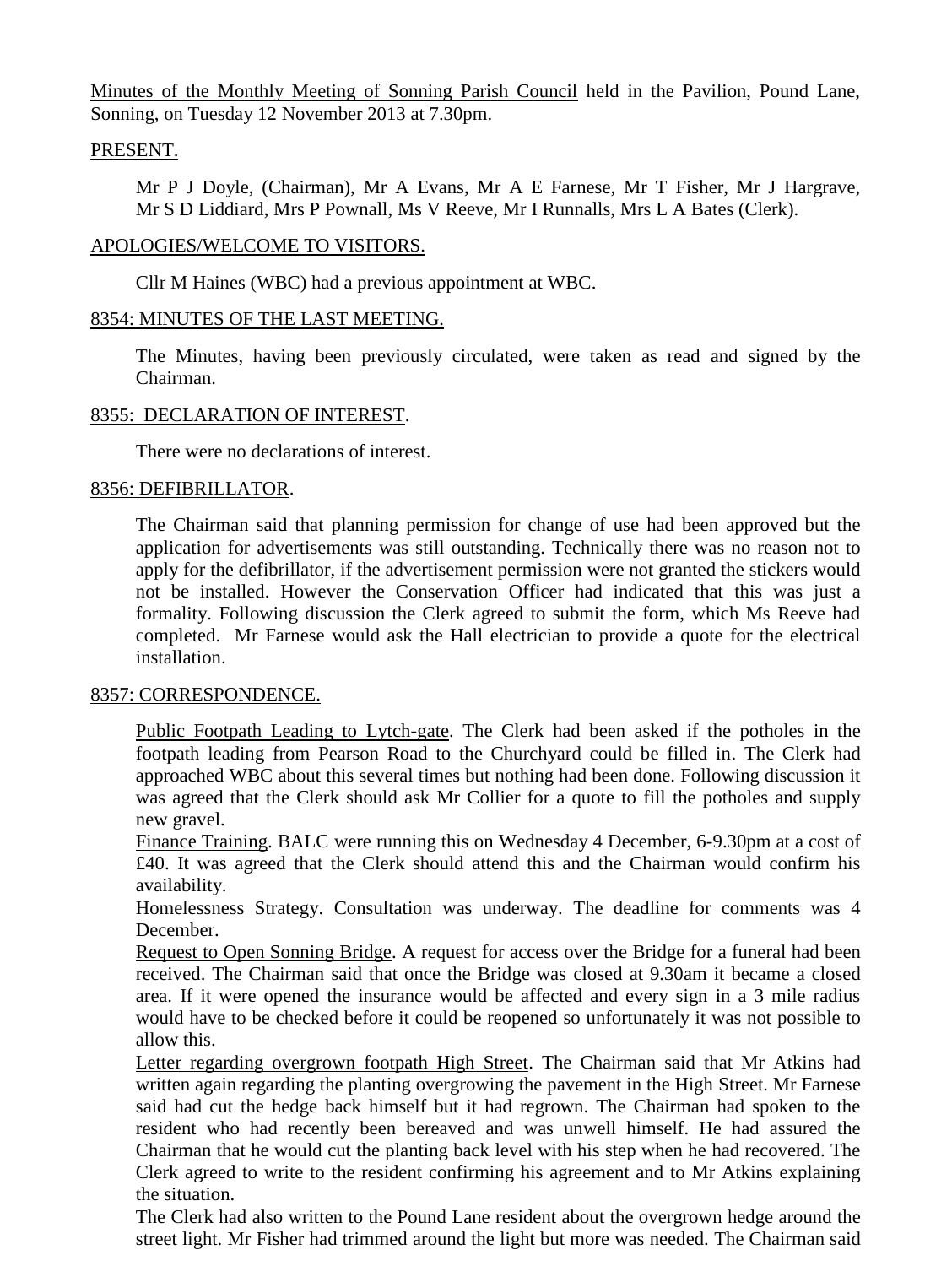Minutes of the Monthly Meeting of Sonning Parish Council held in the Pavilion, Pound Lane, Sonning, on Tuesday 12 November 2013 at 7.30pm.

# PRESENT.

Mr P J Doyle, (Chairman), Mr A Evans, Mr A E Farnese, Mr T Fisher, Mr J Hargrave, Mr S D Liddiard, Mrs P Pownall, Ms V Reeve, Mr I Runnalls, Mrs L A Bates (Clerk).

# APOLOGIES/WELCOME TO VISITORS.

Cllr M Haines (WBC) had a previous appointment at WBC.

# 8354: MINUTES OF THE LAST MEETING.

The Minutes, having been previously circulated, were taken as read and signed by the Chairman.

# 8355: DECLARATION OF INTEREST.

There were no declarations of interest.

# 8356: DEFIBRILLATOR.

The Chairman said that planning permission for change of use had been approved but the application for advertisements was still outstanding. Technically there was no reason not to apply for the defibrillator, if the advertisement permission were not granted the stickers would not be installed. However the Conservation Officer had indicated that this was just a formality. Following discussion the Clerk agreed to submit the form, which Ms Reeve had completed. Mr Farnese would ask the Hall electrician to provide a quote for the electrical installation.

# 8357: CORRESPONDENCE.

Public Footpath Leading to Lytch-gate. The Clerk had been asked if the potholes in the footpath leading from Pearson Road to the Churchyard could be filled in. The Clerk had approached WBC about this several times but nothing had been done. Following discussion it was agreed that the Clerk should ask Mr Collier for a quote to fill the potholes and supply new gravel.

Finance Training. BALC were running this on Wednesday 4 December, 6-9.30pm at a cost of £40. It was agreed that the Clerk should attend this and the Chairman would confirm his availability.

Homelessness Strategy. Consultation was underway. The deadline for comments was 4 December.

Request to Open Sonning Bridge. A request for access over the Bridge for a funeral had been received. The Chairman said that once the Bridge was closed at 9.30am it became a closed area. If it were opened the insurance would be affected and every sign in a 3 mile radius would have to be checked before it could be reopened so unfortunately it was not possible to allow this.

Letter regarding overgrown footpath High Street. The Chairman said that Mr Atkins had written again regarding the planting overgrowing the pavement in the High Street. Mr Farnese said had cut the hedge back himself but it had regrown. The Chairman had spoken to the resident who had recently been bereaved and was unwell himself. He had assured the Chairman that he would cut the planting back level with his step when he had recovered. The Clerk agreed to write to the resident confirming his agreement and to Mr Atkins explaining the situation.

The Clerk had also written to the Pound Lane resident about the overgrown hedge around the street light. Mr Fisher had trimmed around the light but more was needed. The Chairman said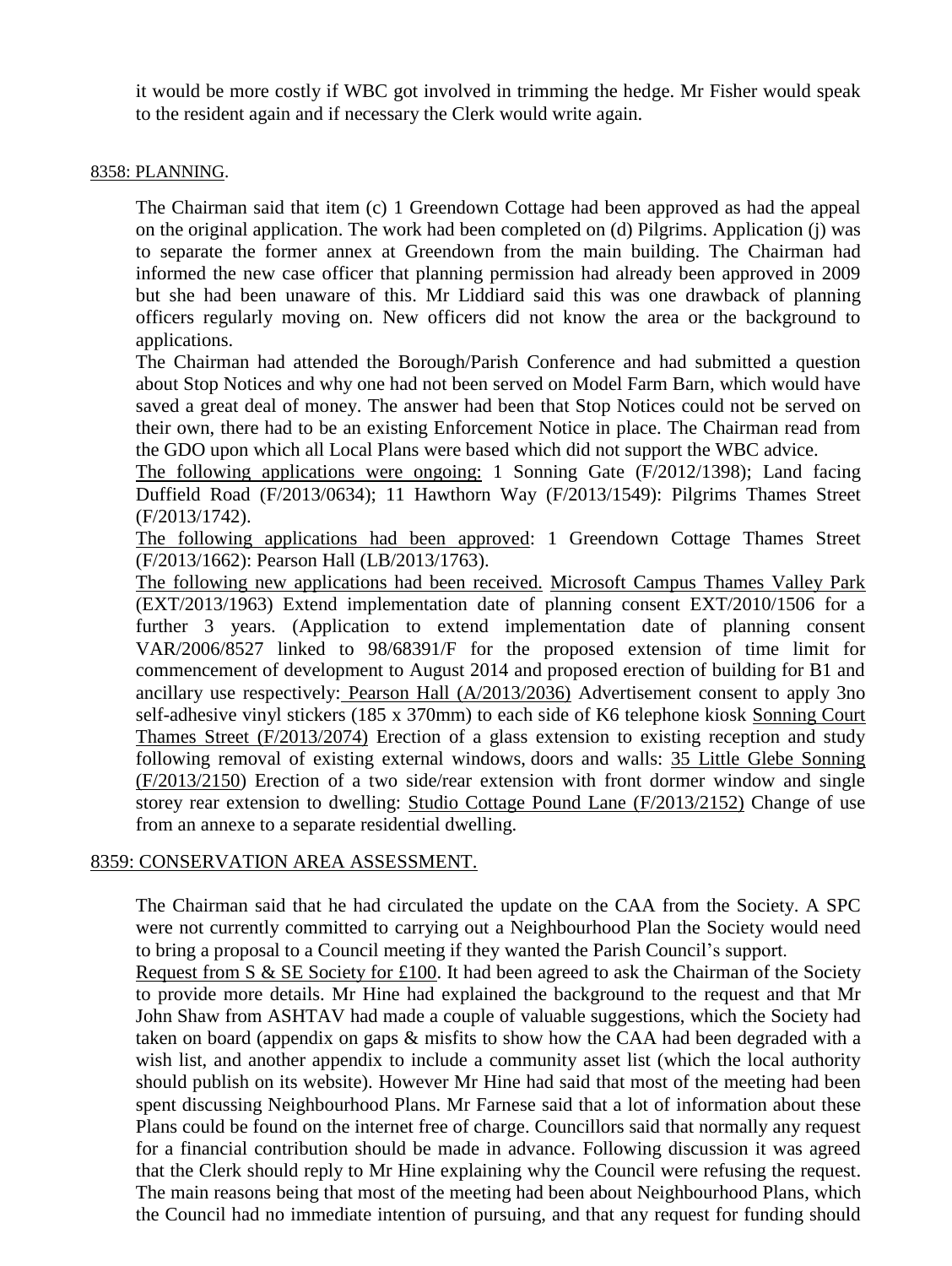it would be more costly if WBC got involved in trimming the hedge. Mr Fisher would speak to the resident again and if necessary the Clerk would write again.

### 8358: PLANNING.

The Chairman said that item (c) 1 Greendown Cottage had been approved as had the appeal on the original application. The work had been completed on (d) Pilgrims. Application (j) was to separate the former annex at Greendown from the main building. The Chairman had informed the new case officer that planning permission had already been approved in 2009 but she had been unaware of this. Mr Liddiard said this was one drawback of planning officers regularly moving on. New officers did not know the area or the background to applications.

The Chairman had attended the Borough/Parish Conference and had submitted a question about Stop Notices and why one had not been served on Model Farm Barn, which would have saved a great deal of money. The answer had been that Stop Notices could not be served on their own, there had to be an existing Enforcement Notice in place. The Chairman read from the GDO upon which all Local Plans were based which did not support the WBC advice.

The following applications were ongoing: 1 Sonning Gate (F/2012/1398); Land facing Duffield Road (F/2013/0634); 11 Hawthorn Way (F/2013/1549): Pilgrims Thames Street (F/2013/1742).

The following applications had been approved: 1 Greendown Cottage Thames Street (F/2013/1662): Pearson Hall (LB/2013/1763).

The following new applications had been received. Microsoft Campus Thames Valley Park (EXT/2013/1963) Extend implementation date of planning consent EXT/2010/1506 for a further 3 years. (Application to extend implementation date of planning consent VAR/2006/8527 linked to 98/68391/F for the proposed extension of time limit for commencement of development to August 2014 and proposed erection of building for B1 and ancillary use respectively: Pearson Hall (A/2013/2036) Advertisement consent to apply 3no self-adhesive vinyl stickers (185 x 370mm) to each side of K6 telephone kiosk Sonning Court Thames Street (F/2013/2074) Erection of a glass extension to existing reception and study following removal of existing external windows, doors and walls: 35 Little Glebe Sonning (F/2013/2150) Erection of a two side/rear extension with front dormer window and single storey rear extension to dwelling: Studio Cottage Pound Lane (F/2013/2152) Change of use from an annexe to a separate residential dwelling.

# 8359: CONSERVATION AREA ASSESSMENT.

The Chairman said that he had circulated the update on the CAA from the Society. A SPC were not currently committed to carrying out a Neighbourhood Plan the Society would need to bring a proposal to a Council meeting if they wanted the Parish Council's support.

Request from S & SE Society for £100. It had been agreed to ask the Chairman of the Society to provide more details. Mr Hine had explained the background to the request and that Mr John Shaw from ASHTAV had made a couple of valuable suggestions, which the Society had taken on board (appendix on gaps & misfits to show how the CAA had been degraded with a wish list, and another appendix to include a community asset list (which the local authority should publish on its website). However Mr Hine had said that most of the meeting had been spent discussing Neighbourhood Plans. Mr Farnese said that a lot of information about these Plans could be found on the internet free of charge. Councillors said that normally any request for a financial contribution should be made in advance. Following discussion it was agreed that the Clerk should reply to Mr Hine explaining why the Council were refusing the request. The main reasons being that most of the meeting had been about Neighbourhood Plans, which the Council had no immediate intention of pursuing, and that any request for funding should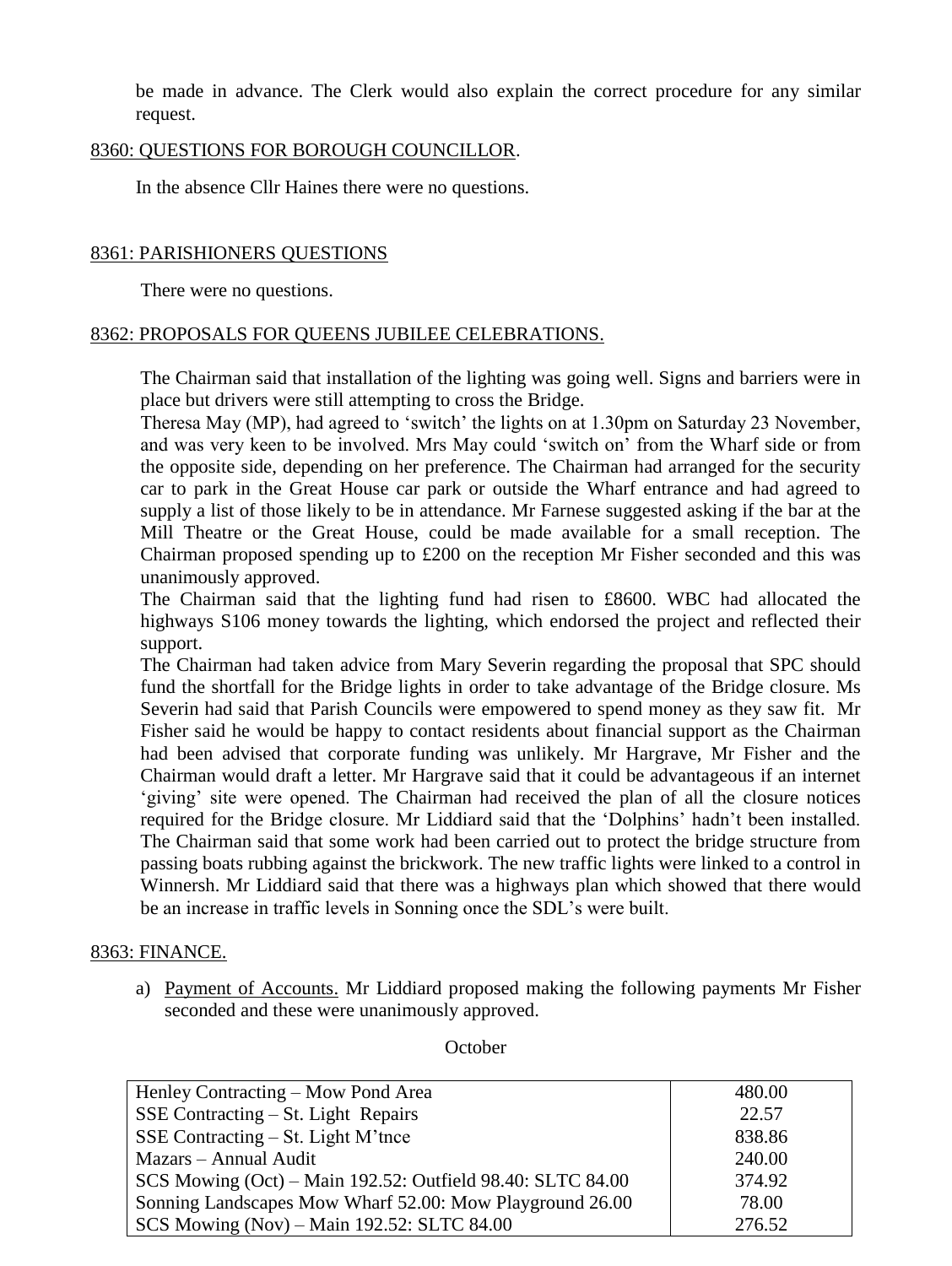be made in advance. The Clerk would also explain the correct procedure for any similar request.

## 8360: QUESTIONS FOR BOROUGH COUNCILLOR.

In the absence Cllr Haines there were no questions.

## 8361: PARISHIONERS QUESTIONS

There were no questions.

### 8362: PROPOSALS FOR QUEENS JUBILEE CELEBRATIONS.

The Chairman said that installation of the lighting was going well. Signs and barriers were in place but drivers were still attempting to cross the Bridge.

Theresa May (MP), had agreed to 'switch' the lights on at 1.30pm on Saturday 23 November, and was very keen to be involved. Mrs May could 'switch on' from the Wharf side or from the opposite side, depending on her preference. The Chairman had arranged for the security car to park in the Great House car park or outside the Wharf entrance and had agreed to supply a list of those likely to be in attendance. Mr Farnese suggested asking if the bar at the Mill Theatre or the Great House, could be made available for a small reception. The Chairman proposed spending up to £200 on the reception Mr Fisher seconded and this was unanimously approved.

The Chairman said that the lighting fund had risen to £8600. WBC had allocated the highways S106 money towards the lighting, which endorsed the project and reflected their support.

The Chairman had taken advice from Mary Severin regarding the proposal that SPC should fund the shortfall for the Bridge lights in order to take advantage of the Bridge closure. Ms Severin had said that Parish Councils were empowered to spend money as they saw fit. Mr Fisher said he would be happy to contact residents about financial support as the Chairman had been advised that corporate funding was unlikely. Mr Hargrave, Mr Fisher and the Chairman would draft a letter. Mr Hargrave said that it could be advantageous if an internet 'giving' site were opened. The Chairman had received the plan of all the closure notices required for the Bridge closure. Mr Liddiard said that the 'Dolphins' hadn't been installed. The Chairman said that some work had been carried out to protect the bridge structure from passing boats rubbing against the brickwork. The new traffic lights were linked to a control in Winnersh. Mr Liddiard said that there was a highways plan which showed that there would be an increase in traffic levels in Sonning once the SDL's were built.

### 8363: FINANCE.

a) Payment of Accounts. Mr Liddiard proposed making the following payments Mr Fisher seconded and these were unanimously approved.

Henley Contracting – Mow Pond Area SSE Contracting – St. Light Repairs SSE Contracting – St. Light M'tnce Mazars – Annual Audit SCS Mowing (Oct) – Main 192.52: Outfield 98.40: SLTC 84.00 Sonning Landscapes Mow Wharf 52.00: Mow Playground 26.00 SCS Mowing (Nov) – Main 192.52: SLTC 84.00 480.00 22.57 838.86 240.00 374.92 78.00 276.52

**October**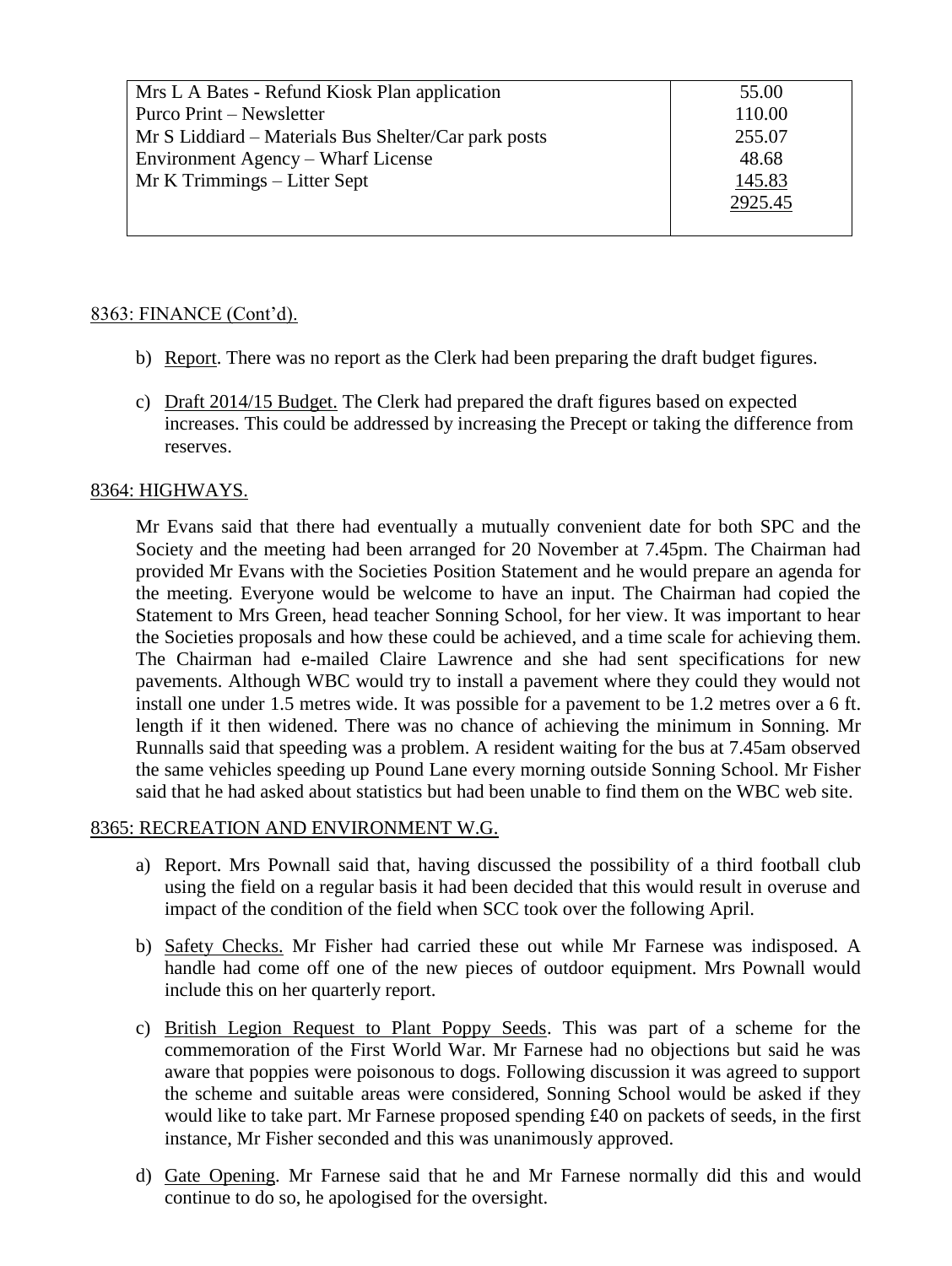| Mrs L A Bates - Refund Kiosk Plan application        | 55.00   |
|------------------------------------------------------|---------|
| Purco Print – Newsletter                             | 110.00  |
| Mr S Liddiard – Materials Bus Shelter/Car park posts | 255.07  |
| Environment Agency – Wharf License                   | 48.68   |
| Mr K Trimmings – Litter Sept                         | 145.83  |
|                                                      | 2925.45 |
|                                                      |         |

# 8363: FINANCE (Cont'd).

- b) Report. There was no report as the Clerk had been preparing the draft budget figures.
- c) Draft 2014/15 Budget. The Clerk had prepared the draft figures based on expected increases. This could be addressed by increasing the Precept or taking the difference from reserves.

# 8364: HIGHWAYS.

Mr Evans said that there had eventually a mutually convenient date for both SPC and the Society and the meeting had been arranged for 20 November at 7.45pm. The Chairman had provided Mr Evans with the Societies Position Statement and he would prepare an agenda for the meeting. Everyone would be welcome to have an input. The Chairman had copied the Statement to Mrs Green, head teacher Sonning School, for her view. It was important to hear the Societies proposals and how these could be achieved, and a time scale for achieving them. The Chairman had e-mailed Claire Lawrence and she had sent specifications for new pavements. Although WBC would try to install a pavement where they could they would not install one under 1.5 metres wide. It was possible for a pavement to be 1.2 metres over a 6 ft. length if it then widened. There was no chance of achieving the minimum in Sonning. Mr Runnalls said that speeding was a problem. A resident waiting for the bus at 7.45am observed the same vehicles speeding up Pound Lane every morning outside Sonning School. Mr Fisher said that he had asked about statistics but had been unable to find them on the WBC web site.

# 8365: RECREATION AND ENVIRONMENT W.G.

- a) Report. Mrs Pownall said that, having discussed the possibility of a third football club using the field on a regular basis it had been decided that this would result in overuse and impact of the condition of the field when SCC took over the following April.
- b) Safety Checks. Mr Fisher had carried these out while Mr Farnese was indisposed. A handle had come off one of the new pieces of outdoor equipment. Mrs Pownall would include this on her quarterly report.
- c) British Legion Request to Plant Poppy Seeds. This was part of a scheme for the commemoration of the First World War. Mr Farnese had no objections but said he was aware that poppies were poisonous to dogs. Following discussion it was agreed to support the scheme and suitable areas were considered, Sonning School would be asked if they would like to take part. Mr Farnese proposed spending £40 on packets of seeds, in the first instance, Mr Fisher seconded and this was unanimously approved.
- d) Gate Opening. Mr Farnese said that he and Mr Farnese normally did this and would continue to do so, he apologised for the oversight.